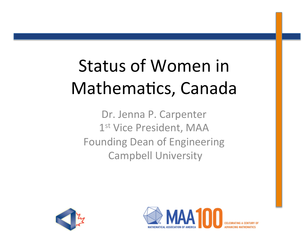# Status of Women in Mathematics, Canada

Dr. Jenna P. Carpenter 1<sup>st</sup> Vice President, MAA Founding Dean of Engineering **Campbell University** 



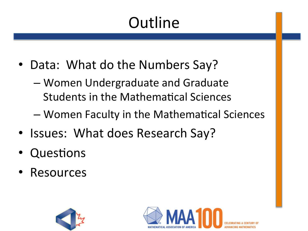# **Outline**

- Data: What do the Numbers Say?
	- Women Undergraduate and Graduate Students in the Mathematical Sciences
	- Women Faculty in the Mathematical Sciences
- Issues: What does Research Say?
- Questions
- Resources



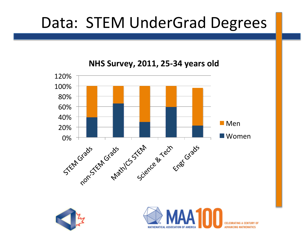### Data: STEM UnderGrad Degrees

**NHS Survey, 2011, 25-34 years old** 





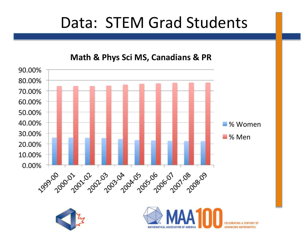#### Data: STEM Grad Students

90.00% 80.00% 70.00% 60.00% 50.00% 40.00% % Women 30.00% ■% Men 20.00% 10.00% 0.00% 1999 2007 2012 2023 204 205 206 2012 208 20





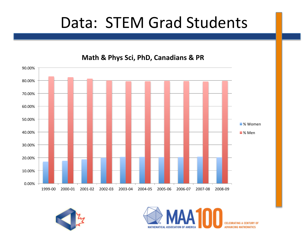#### Data: STEM Grad Students



**Math & Phys Sci, PhD, Canadians & PR** 



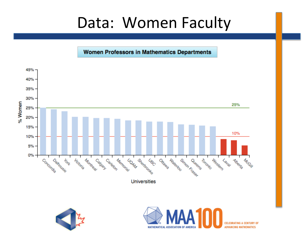#### Data: Women Faculty

Women Professors in Mathematics Departments



**MATHEMATICAL ASSOCIATION OF AMERICA** 

**CELEBRATING A CEN ADVANCING MATHEMATICS**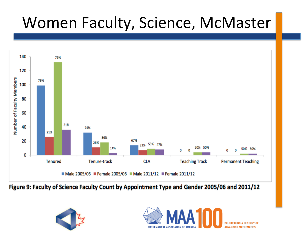## Women Faculty, Science, McMaster



Figure 9: Faculty of Science Faculty Count by Appointment Type and Gender 2005/06 and 2011/12



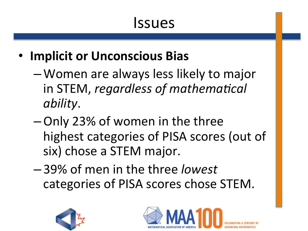### Issues

- **Implicit or Unconscious Bias** 
	- –Women are always less likely to major in STEM, *regardless of mathematical ability*.
	- –Only 23% of women in the three highest categories of PISA scores (out of six) chose a STEM major.
	- 39% of men in the three *lowest* categories of PISA scores chose STEM.



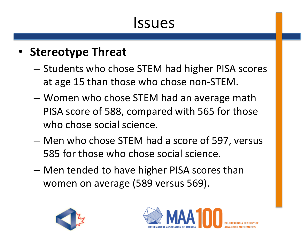### Issues

#### • Stereotype Threat

- $-$  Students who chose STEM had higher PISA scores at age 15 than those who chose non-STEM.
- $-$  Women who chose STEM had an average math PISA score of 588, compared with 565 for those who chose social science.
- $-$  Men who chose STEM had a score of 597, versus 585 for those who chose social science.
- Men tended to have higher PISA scores than women on average (589 versus 569).



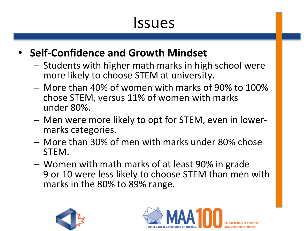### **Issues**

#### • **Self-Confidence and Growth Mindset**

- $-$  Students with higher math marks in high school were more likely to choose STEM at university.
- More than 40% of women with marks of 90% to 100% chose STEM, versus 11% of women with marks under 80%.
- $-$  Men were more likely to opt for STEM, even in lowermarks categories.
- $-$  More than 30% of men with marks under 80% chose STEM.
- $-$  Women with math marks of at least 90% in grade 9 or 10 were less likely to choose STEM than men with marks in the 80% to 89% range.



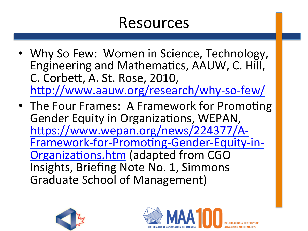#### Resources

- Why So Few: Women in Science, Technology, Engineering and Mathematics, AAUW, C. Hill, C. Corbett, A. St. Rose, 2010, http://www.aauw.org/research/why-so-few/
- The Four Frames: A Framework for Promoting Gender Equity in Organizations, WEPAN, https://www.wepan.org/news/224377/A-Framework-for-Promoting-Gender-Equity-in-Organizations.htm (adapted from CGO Insights, Briefing Note No. 1, Simmons Graduate School of Management)



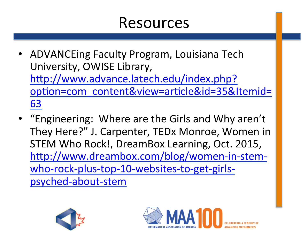#### Resources

- ADVANCEing Faculty Program, Louisiana Tech University, OWISE Library, http://www.advance.latech.edu/index.php? option=com\_content&view=article&id=35&Itemid= 63
- "Engineering: Where are the Girls and Why aren't They Here?" J. Carpenter, TEDx Monroe, Women in STEM Who Rock!, DreamBox Learning, Oct. 2015, http://www.dreambox.com/blog/women-in-stemwho-rock-plus-top-10-websites-to-get-girlspsyched-about-stem



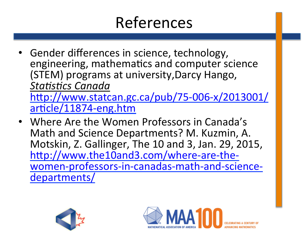# References

- Gender differences in science, technology, engineering, mathematics and computer science (STEM) programs at university, Darcy Hango, **Statistics Canada** http://www.statcan.gc.ca/pub/75-006-x/2013001/ article/11874-eng.htm
- Where Are the Women Professors in Canada's Math and Science Departments? M. Kuzmin, A. Motskin, Z. Gallinger, The 10 and 3, Jan. 29, 2015, http://www.the10and3.com/where-are-thewomen-professors-in-canadas-math-and-sciencedepartments/